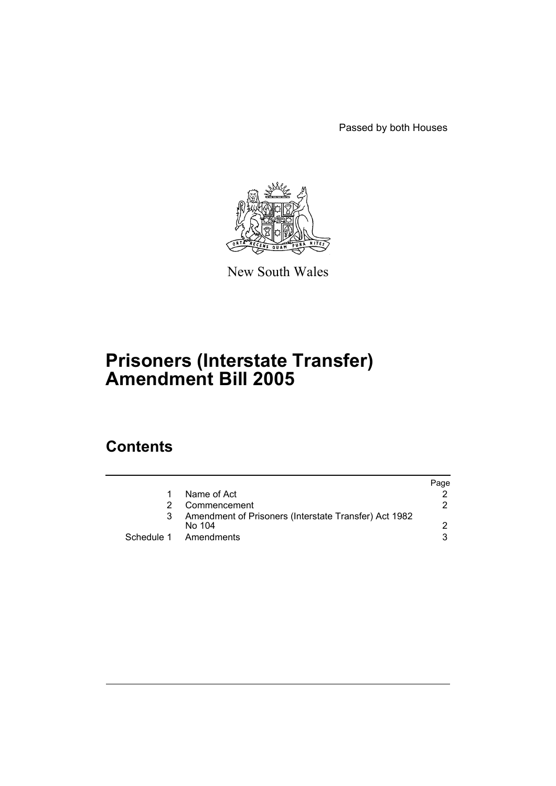Passed by both Houses



New South Wales

# **Prisoners (Interstate Transfer) Amendment Bill 2005**

# **Contents**

|                                                                 | Page |
|-----------------------------------------------------------------|------|
| Name of Act                                                     |      |
| Commencement                                                    | 2.   |
| Amendment of Prisoners (Interstate Transfer) Act 1982<br>No 104 |      |
| Schedule 1 Amendments                                           | 3    |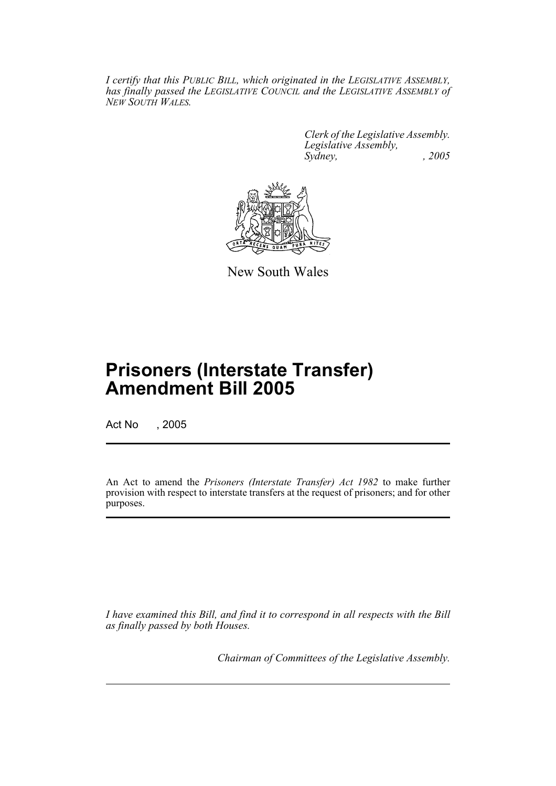*I certify that this PUBLIC BILL, which originated in the LEGISLATIVE ASSEMBLY, has finally passed the LEGISLATIVE COUNCIL and the LEGISLATIVE ASSEMBLY of NEW SOUTH WALES.*

> *Clerk of the Legislative Assembly. Legislative Assembly, Sydney, , 2005*



New South Wales

# **Prisoners (Interstate Transfer) Amendment Bill 2005**

Act No , 2005

An Act to amend the *Prisoners (Interstate Transfer) Act 1982* to make further provision with respect to interstate transfers at the request of prisoners; and for other purposes.

*I have examined this Bill, and find it to correspond in all respects with the Bill as finally passed by both Houses.*

*Chairman of Committees of the Legislative Assembly.*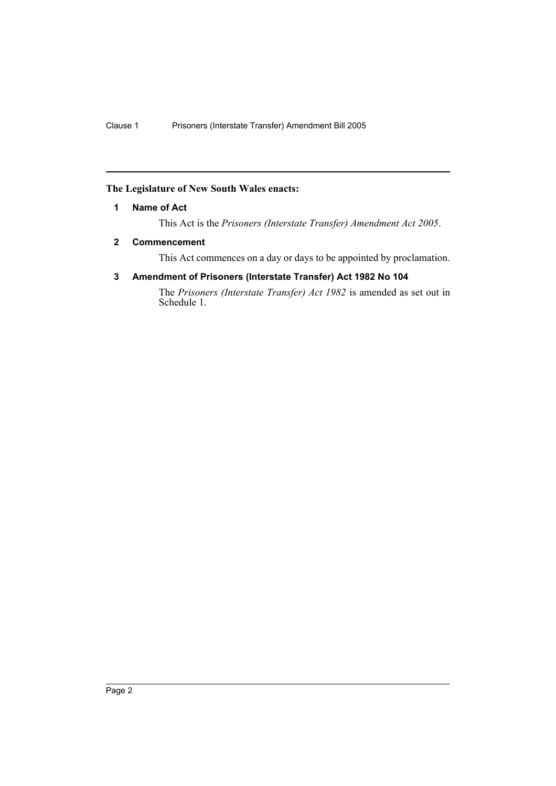#### **The Legislature of New South Wales enacts:**

#### **1 Name of Act**

This Act is the *Prisoners (Interstate Transfer) Amendment Act 2005*.

#### **2 Commencement**

This Act commences on a day or days to be appointed by proclamation.

### **3 Amendment of Prisoners (Interstate Transfer) Act 1982 No 104**

The *Prisoners (Interstate Transfer) Act 1982* is amended as set out in Schedule 1.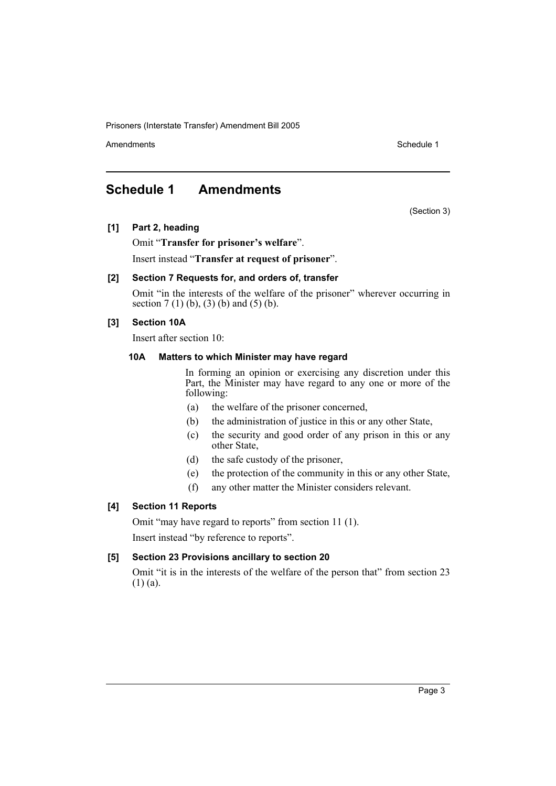Prisoners (Interstate Transfer) Amendment Bill 2005

Amendments **Schedule 1** and the set of the set of the set of the set of the set of the set of the set of the set of the set of the set of the set of the set of the set of the set of the set of the set of the set of the set

(Section 3)

# **Schedule 1 Amendments**

#### **[1] Part 2, heading**

Omit "**Transfer for prisoner's welfare**".

Insert instead "**Transfer at request of prisoner**".

#### **[2] Section 7 Requests for, and orders of, transfer**

Omit "in the interests of the welfare of the prisoner" wherever occurring in section  $7(1)(b)$ ,  $(3)(b)$  and  $(5)(b)$ .

### **[3] Section 10A**

Insert after section 10:

#### **10A Matters to which Minister may have regard**

In forming an opinion or exercising any discretion under this Part, the Minister may have regard to any one or more of the following:

- (a) the welfare of the prisoner concerned,
- (b) the administration of justice in this or any other State,
- (c) the security and good order of any prison in this or any other State,
- (d) the safe custody of the prisoner,
- (e) the protection of the community in this or any other State,
- (f) any other matter the Minister considers relevant.

### **[4] Section 11 Reports**

Omit "may have regard to reports" from section 11 (1). Insert instead "by reference to reports".

#### **[5] Section 23 Provisions ancillary to section 20**

Omit "it is in the interests of the welfare of the person that" from section 23 (1) (a).